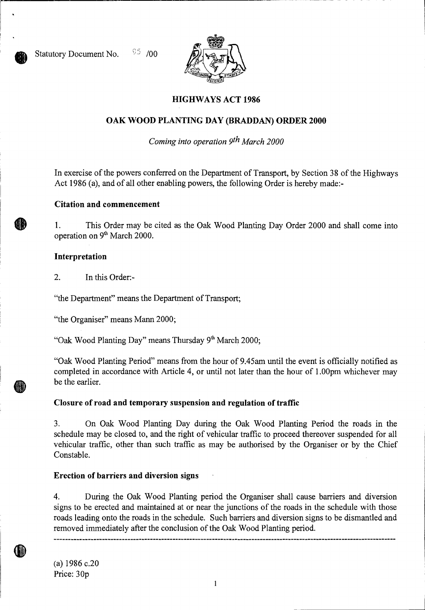

# **HIGHWAYS ACT 1986**

# **OAK WOOD PLANTING DAY (BRADDAN) ORDER 2000**

*Coming into operation 9th March 2000* 

In exercise of the powers conferred on the Department of Transport, by Section 38 of the Highways Act 1986 (a), and of all other enabling powers, the following Order is hereby made:-

### **Citation and commencement**

1. This Order may be cited as the Oak Wood Planting Day Order 2000 and shall come into operation on 9<sup>th</sup> March 2000.

### **Interpretation**

2. In this Order:-

"the Department" means the Department of Transport;

"the Organiser" means Mann 2000;

"Oak Wood Planting Day" means Thursday  $9<sup>th</sup>$  March 2000;

"Oak Wood Planting Period" means from the hour of 9.45am until the event is officially notified as completed in accordance with Article 4, or until not later than the hour of 1.00pm whichever may be the earlier.

## **Closure of road and temporary suspension and regulation of traffic**

3. On Oak Wood Planting Day during the Oak Wood Planting Period the roads in the schedule may be closed to, and the right of vehicular traffic to proceed thereover suspended for all vehicular traffic, other than such traffic as may be authorised by the Organiser or by the Chief Constable.

## **Erection of barriers and diversion signs**

4. During the Oak Wood Planting period the Organiser shall cause barriers and diversion signs to be erected and maintained at or near the junctions of the roads in the schedule with those roads leading onto the roads in the schedule. Such barriers and diversion signs to be dismantled and removed immediately after the conclusion of the Oak Wood Planting period.

(a) 1986 c.20 Price: 30p